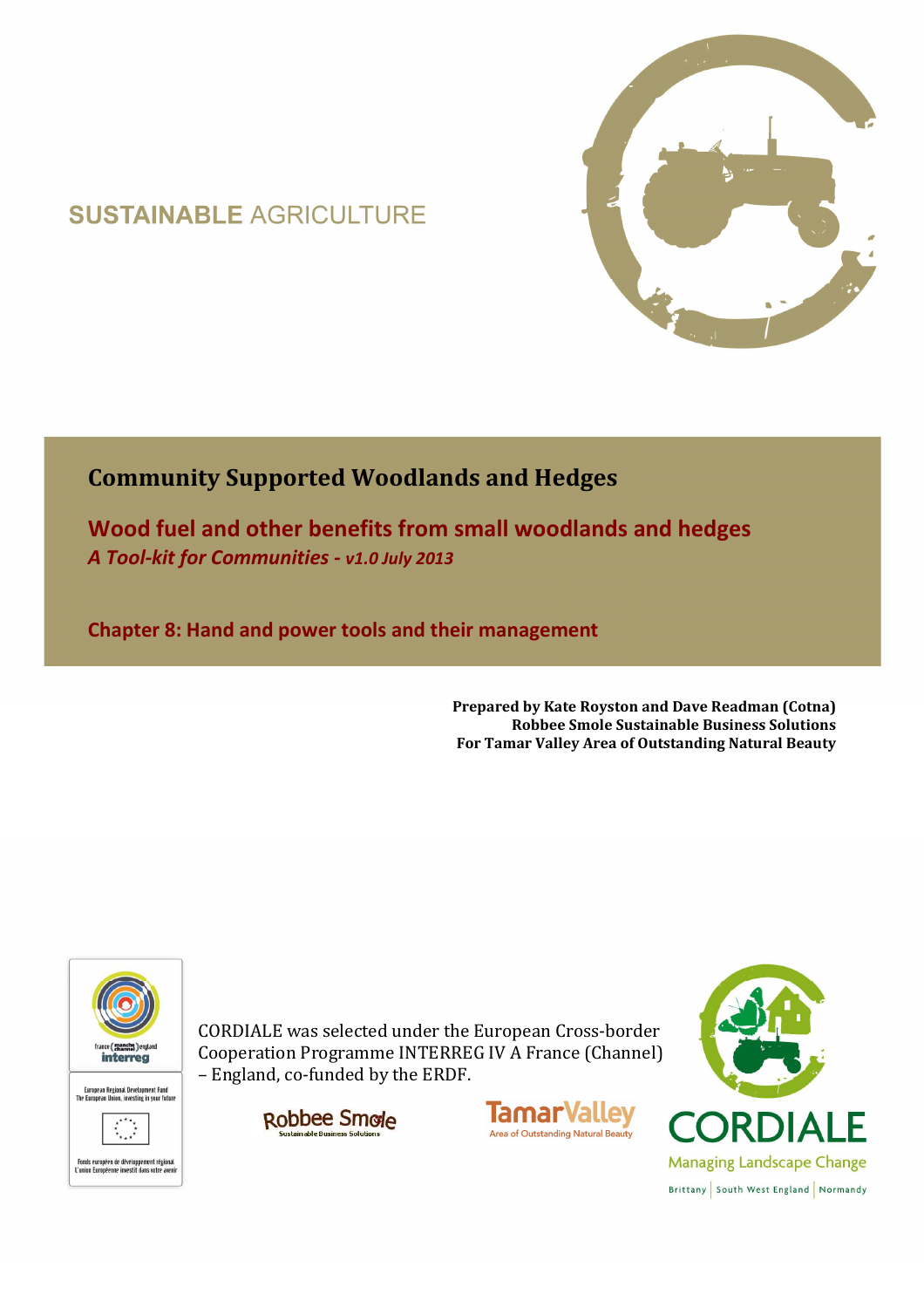# **SUSTAINABLE AGRICULTURE**



# **Community Supported Woodlands and Hedges**

**Wood fuel and other benefits from small woodlands and hedges**  *A Tool-kit for Communities - v1.0 July 2013*

**Chapter 8: Hand and power tools and their management** 

**Prepared by Kate Royston and Dave Readman (Cotna) Robbee Smole Sustainable Business Solutions For Tamar Valley Area of Outstanding Natural Beauty**



CORDIALE was selected under the European Cross-border Cooperation Programme INTERREG IV A France (Channel) – England, co-funded by the ERDF.





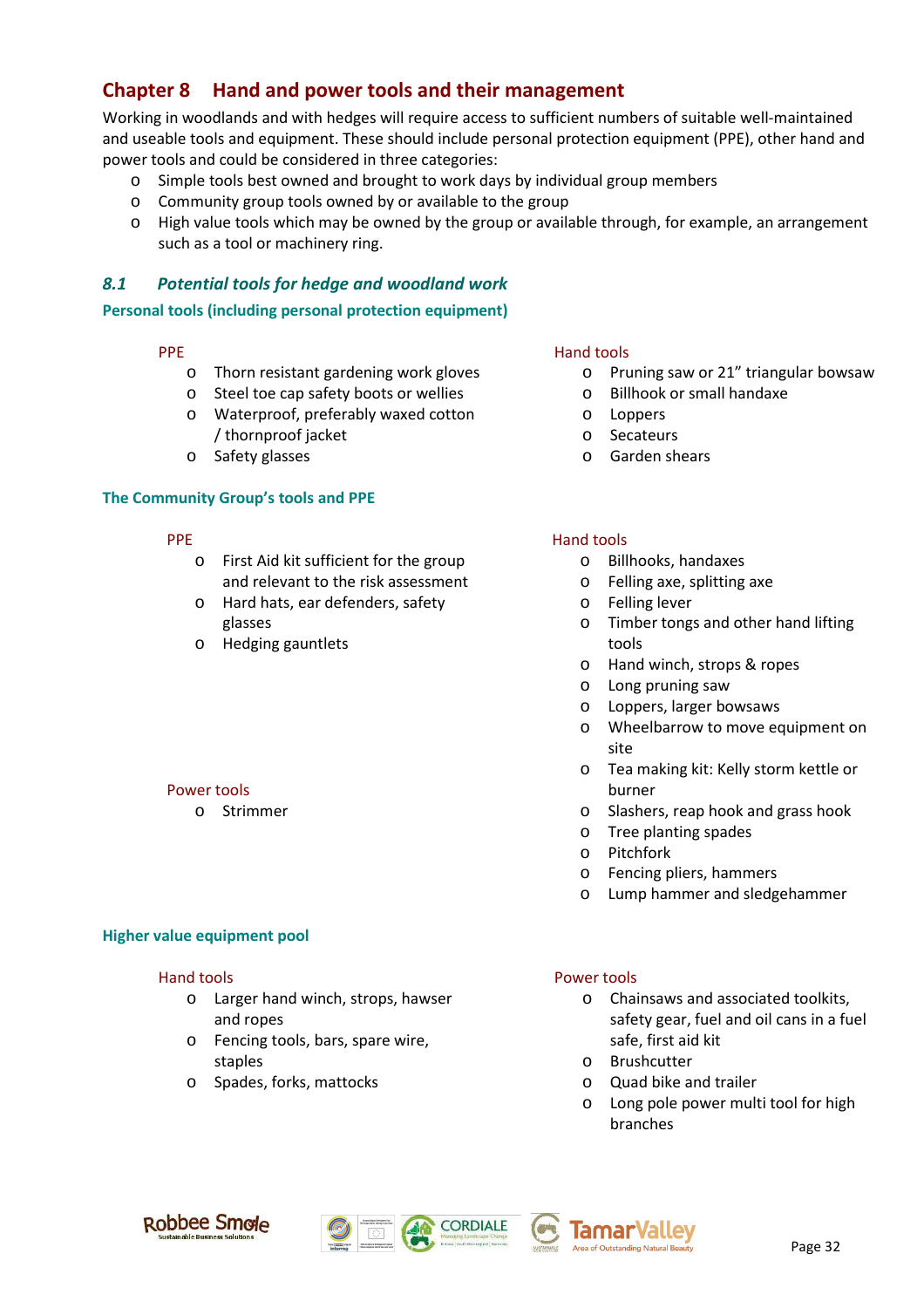## **Chapter 8 Hand and power tools and their management**

Working in woodlands and with hedges will require access to sufficient numbers of suitable well-maintained and useable tools and equipment. These should include personal protection equipment (PPE), other hand and power tools and could be considered in three categories:

- o Simple tools best owned and brought to work days by individual group members
- o Community group tools owned by or available to the group
- o High value tools which may be owned by the group or available through, for example, an arrangement such as a tool or machinery ring.

### *8.1 Potential tools for hedge and woodland work*

**Personal tools (including personal protection equipment)** 

#### PPE

- o Thorn resistant gardening work gloves
- o Steel toe cap safety boots or wellies
- o Waterproof, preferably waxed cotton / thornproof jacket
- o Safety glasses

#### **The Community Group's tools and PPE**

- PPE
	- o First Aid kit sufficient for the group and relevant to the risk assessment
	- o Hard hats, ear defenders, safety glasses
	- o Hedging gauntlets

#### Power tools

o Strimmer

# **Higher value equipment pool**

#### Hand tools

- o Larger hand winch, strops, hawser and ropes
- o Fencing tools, bars, spare wire, staples
- o Spades, forks, mattocks

#### Hand tools

- o Pruning saw or 21" triangular bowsaw
- o Billhook or small handaxe
- o Loppers
- o Secateurs
- o Garden shears

#### Hand tools

- o Billhooks, handaxes
- o Felling axe, splitting axe
- o Felling lever
- o Timber tongs and other hand lifting tools
- o Hand winch, strops & ropes
- o Long pruning saw
- o Loppers, larger bowsaws
- o Wheelbarrow to move equipment on site
- o Tea making kit: Kelly storm kettle or burner
- o Slashers, reap hook and grass hook
- o Tree planting spades
- o Pitchfork
- o Fencing pliers, hammers
- o Lump hammer and sledgehammer

#### Power tools

- o Chainsaws and associated toolkits, safety gear, fuel and oil cans in a fuel safe, first aid kit
- o Brushcutter
- o Quad bike and trailer
- o Long pole power multi tool for high branches